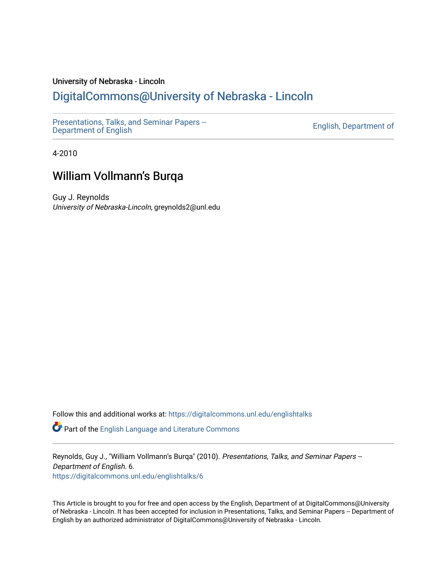### University of Nebraska - Lincoln

## [DigitalCommons@University of Nebraska - Lincoln](https://digitalcommons.unl.edu/)

[Presentations, Talks, and Seminar Papers --](https://digitalcommons.unl.edu/englishtalks)  Presentations, Taiks, and Seminar Papers –<br>[Department of English](https://digitalcommons.unl.edu/englishtalks) English

4-2010

### William Vollmann's Burqa

Guy J. Reynolds University of Nebraska-Lincoln, greynolds2@unl.edu

Follow this and additional works at: [https://digitalcommons.unl.edu/englishtalks](https://digitalcommons.unl.edu/englishtalks?utm_source=digitalcommons.unl.edu%2Fenglishtalks%2F6&utm_medium=PDF&utm_campaign=PDFCoverPages) 

Part of the [English Language and Literature Commons](http://network.bepress.com/hgg/discipline/455?utm_source=digitalcommons.unl.edu%2Fenglishtalks%2F6&utm_medium=PDF&utm_campaign=PDFCoverPages)

Reynolds, Guy J., "William Vollmann's Burqa" (2010). Presentations, Talks, and Seminar Papers --Department of English. 6. [https://digitalcommons.unl.edu/englishtalks/6](https://digitalcommons.unl.edu/englishtalks/6?utm_source=digitalcommons.unl.edu%2Fenglishtalks%2F6&utm_medium=PDF&utm_campaign=PDFCoverPages) 

This Article is brought to you for free and open access by the English, Department of at DigitalCommons@University of Nebraska - Lincoln. It has been accepted for inclusion in Presentations, Talks, and Seminar Papers -- Department of English by an authorized administrator of DigitalCommons@University of Nebraska - Lincoln.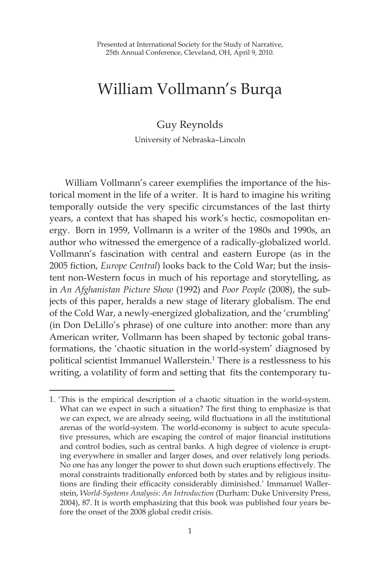# William Vollmann's Burqa

#### Guy Reynolds

University of Nebraska–Lincoln

William Vollmann's career exemplifies the importance of the historical moment in the life of a writer. It is hard to imagine his writing temporally outside the very specific circumstances of the last thirty years, a context that has shaped his work's hectic, cosmopolitan energy. Born in 1959, Vollmann is a writer of the 1980s and 1990s, an author who witnessed the emergence of a radically-globalized world. Vollmann's fascination with central and eastern Europe (as in the 2005 fiction, *Europe Central*) looks back to the Cold War; but the insistent non-Western focus in much of his reportage and storytelling, as in *An Afghanistan Picture Show* (1992) and *Poor People* (2008), the subjects of this paper, heralds a new stage of literary globalism. The end of the Cold War, a newly-energized globalization, and the 'crumbling' (in Don DeLillo's phrase) of one culture into another: more than any American writer, Vollmann has been shaped by tectonic gobal transformations, the 'chaotic situation in the world-system' diagnosed by political scientist Immanuel Wallerstein.<sup>1</sup> There is a restlessness to his writing, a volatility of form and setting that fits the contemporary tu-

<sup>1. &#</sup>x27;This is the empirical description of a chaotic situation in the world-system. What can we expect in such a situation? The first thing to emphasize is that we can expect, we are already seeing, wild fluctuations in all the institutional arenas of the world-system. The world-economy is subject to acute speculative pressures, which are escaping the control of major financial institutions and control bodies, such as central banks. A high degree of violence is erupting everywhere in smaller and larger doses, and over relatively long periods. No one has any longer the power to shut down such eruptions effectively. The moral constraints traditionally enforced both by states and by religious insitutions are finding their efficacity considerably diminished.' Immanuel Wallerstein, *World-Systems Analysis: An Introduction* (Durham: Duke University Press, 2004), 87. It is worth emphasizing that this book was published four years before the onset of the 2008 global credit crisis.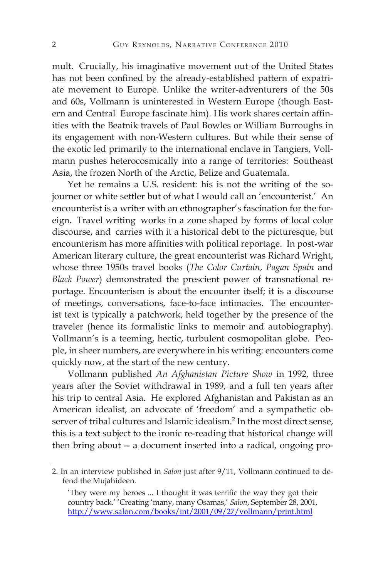mult. Crucially, his imaginative movement out of the United States has not been confined by the already-established pattern of expatriate movement to Europe. Unlike the writer-adventurers of the 50s and 60s, Vollmann is uninterested in Western Europe (though Eastern and Central Europe fascinate him). His work shares certain affinities with the Beatnik travels of Paul Bowles or William Burroughs in its engagement with non-Western cultures. But while their sense of the exotic led primarily to the international enclave in Tangiers, Vollmann pushes heterocosmically into a range of territories: Southeast Asia, the frozen North of the Arctic, Belize and Guatemala.

Yet he remains a U.S. resident: his is not the writing of the sojourner or white settler but of what I would call an 'encounterist.' An encounterist is a writer with an ethnographer's fascination for the foreign. Travel writing works in a zone shaped by forms of local color discourse, and carries with it a historical debt to the picturesque, but encounterism has more affinities with political reportage. In post-war American literary culture, the great encounterist was Richard Wright, whose three 1950s travel books (*The Color Curtain*, *Pagan Spain* and *Black Power*) demonstrated the prescient power of transnational reportage. Encounterism is about the encounter itself; it is a discourse of meetings, conversations, face-to-face intimacies. The encounterist text is typically a patchwork, held together by the presence of the traveler (hence its formalistic links to memoir and autobiography). Vollmann's is a teeming, hectic, turbulent cosmopolitan globe. People, in sheer numbers, are everywhere in his writing: encounters come quickly now, at the start of the new century.

Vollmann published *An Afghanistan Picture Show* in 1992, three years after the Soviet withdrawal in 1989, and a full ten years after his trip to central Asia. He explored Afghanistan and Pakistan as an American idealist, an advocate of 'freedom' and a sympathetic observer of tribal cultures and Islamic idealism.<sup>2</sup> In the most direct sense, this is a text subject to the ironic re-reading that historical change will then bring about -- a document inserted into a radical, ongoing pro-

<sup>2.</sup> In an interview published in *Salon* just after 9/11, Vollmann continued to defend the Mujahideen.

<sup>&#</sup>x27;They were my heroes ... I thought it was terrific the way they got their country back.' 'Creating 'many, many Osamas,' *Salon*, September 28, 2001, http://www.salon.com/books/int/2001/09/27/vollmann/print.html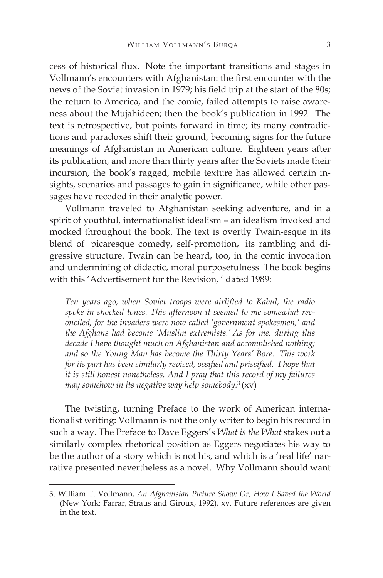cess of historical flux. Note the important transitions and stages in Vollmann's encounters with Afghanistan: the first encounter with the news of the Soviet invasion in 1979; his field trip at the start of the 80s; the return to America, and the comic, failed attempts to raise awareness about the Mujahideen; then the book's publication in 1992. The text is retrospective, but points forward in time; its many contradictions and paradoxes shift their ground, becoming signs for the future meanings of Afghanistan in American culture. Eighteen years after its publication, and more than thirty years after the Soviets made their incursion, the book's ragged, mobile texture has allowed certain insights, scenarios and passages to gain in significance, while other passages have receded in their analytic power.

Vollmann traveled to Afghanistan seeking adventure, and in a spirit of youthful, internationalist idealism – an idealism invoked and mocked throughout the book. The text is overtly Twain-esque in its blend of picaresque comedy, self-promotion, its rambling and digressive structure. Twain can be heard, too, in the comic invocation and undermining of didactic, moral purposefulness The book begins with this 'Advertisement for the Revision, ' dated 1989:

*Ten years ago, when Soviet troops were airlifted to Kabul, the radio spoke in shocked tones. This afternoon it seemed to me somewhat reconciled, for the invaders were now called 'government spokesmen,' and the Afghans had become 'Muslim extremists.' As for me, during this decade I have thought much on Afghanistan and accomplished nothing; and so the Young Man has become the Thirty Years' Bore. This work for its part has been similarly revised, ossified and prissified. I hope that it is still honest nonetheless. And I pray that this record of my failures may somehow in its negative way help somebody.*<sup>3</sup> (xv)

The twisting, turning Preface to the work of American internationalist writing: Vollmann is not the only writer to begin his record in such a way. The Preface to Dave Eggers's *What is the What* stakes out a similarly complex rhetorical position as Eggers negotiates his way to be the author of a story which is not his, and which is a 'real life' narrative presented nevertheless as a novel. Why Vollmann should want

<sup>3.</sup> William T. Vollmann, *An Afghanistan Picture Show: Or, How I Saved the World* (New York: Farrar, Straus and Giroux, 1992), xv. Future references are given in the text.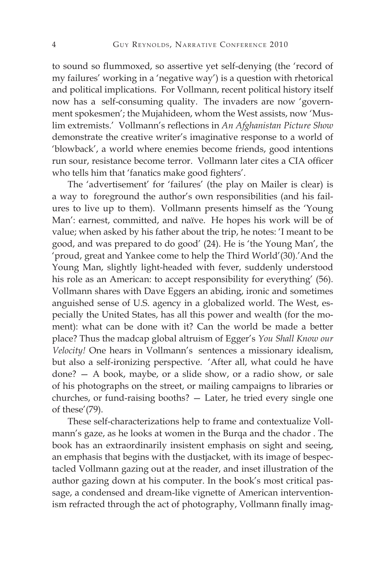to sound so flummoxed, so assertive yet self-denying (the 'record of my failures' working in a 'negative way') is a question with rhetorical and political implications. For Vollmann, recent political history itself now has a self-consuming quality. The invaders are now 'government spokesmen'; the Mujahideen, whom the West assists, now 'Muslim extremists.' Vollmann's reflections in *An Afghanistan Picture Show* demonstrate the creative writer's imaginative response to a world of 'blowback', a world where enemies become friends, good intentions run sour, resistance become terror. Vollmann later cites a CIA officer who tells him that 'fanatics make good fighters'.

The 'advertisement' for 'failures' (the play on Mailer is clear) is a way to foreground the author's own responsibilities (and his failures to live up to them). Vollmann presents himself as the 'Young Man': earnest, committed, and naïve. He hopes his work will be of value; when asked by his father about the trip, he notes: 'I meant to be good, and was prepared to do good' (24). He is 'the Young Man', the 'proud, great and Yankee come to help the Third World'(30).'And the Young Man, slightly light-headed with fever, suddenly understood his role as an American: to accept responsibility for everything' (56). Vollmann shares with Dave Eggers an abiding, ironic and sometimes anguished sense of U.S. agency in a globalized world. The West, especially the United States, has all this power and wealth (for the moment): what can be done with it? Can the world be made a better place? Thus the madcap global altruism of Egger's *You Shall Know our Velocity!* One hears in Vollmann's sentences a missionary idealism, but also a self-ironizing perspective. 'After all, what could he have done? — A book, maybe, or a slide show, or a radio show, or sale of his photographs on the street, or mailing campaigns to libraries or churches, or fund-raising booths? — Later, he tried every single one of these'(79).

These self-characterizations help to frame and contextualize Vollmann's gaze, as he looks at women in the Burqa and the chador . The book has an extraordinarily insistent emphasis on sight and seeing, an emphasis that begins with the dustjacket, with its image of bespectacled Vollmann gazing out at the reader, and inset illustration of the author gazing down at his computer. In the book's most critical passage, a condensed and dream-like vignette of American interventionism refracted through the act of photography, Vollmann finally imag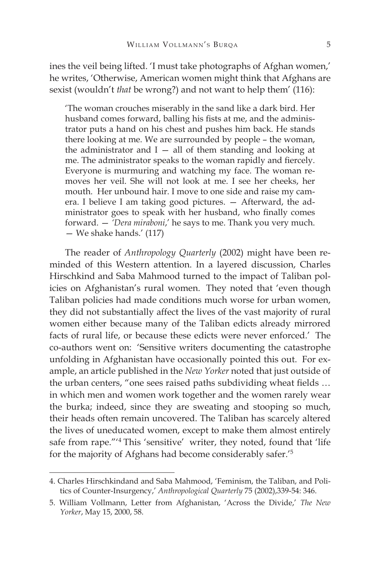ines the veil being lifted. 'I must take photographs of Afghan women,' he writes, 'Otherwise, American women might think that Afghans are sexist (wouldn't *that* be wrong?) and not want to help them' (116):

'The woman crouches miserably in the sand like a dark bird. Her husband comes forward, balling his fists at me, and the administrator puts a hand on his chest and pushes him back. He stands there looking at me. We are surrounded by people – the woman, the administrator and  $I - all$  of them standing and looking at me. The administrator speaks to the woman rapidly and fiercely. Everyone is murmuring and watching my face. The woman removes her veil. She will not look at me. I see her cheeks, her mouth. Her unbound hair. I move to one side and raise my camera. I believe I am taking good pictures. — Afterward, the administrator goes to speak with her husband, who finally comes forward. — *'Dera miraboni*,' he says to me. Thank you very much. — We shake hands.' (117)

The reader of *Anthropology Quarterly* (2002) might have been reminded of this Western attention. In a layered discussion, Charles Hirschkind and Saba Mahmood turned to the impact of Taliban policies on Afghanistan's rural women. They noted that 'even though Taliban policies had made conditions much worse for urban women, they did not substantially affect the lives of the vast majority of rural women either because many of the Taliban edicts already mirrored facts of rural life, or because these edicts were never enforced.' The co-authors went on: 'Sensitive writers documenting the catastrophe unfolding in Afghanistan have occasionally pointed this out. For example, an article published in the *New Yorker* noted that just outside of the urban centers, "one sees raised paths subdividing wheat fields … in which men and women work together and the women rarely wear the burka; indeed, since they are sweating and stooping so much, their heads often remain uncovered. The Taliban has scarcely altered the lives of uneducated women, except to make them almost entirely safe from rape."'4 This 'sensitive' writer, they noted, found that 'life for the majority of Afghans had become considerably safer.'5

<sup>4.</sup> Charles Hirschkindand and Saba Mahmood, 'Feminism, the Taliban, and Politics of Counter-Insurgency,' *Anthropological Quarterly* 75 (2002),339-54: 346.

<sup>5.</sup> William Vollmann, Letter from Afghanistan, 'Across the Divide,' *The New Yorker*, May 15, 2000, 58.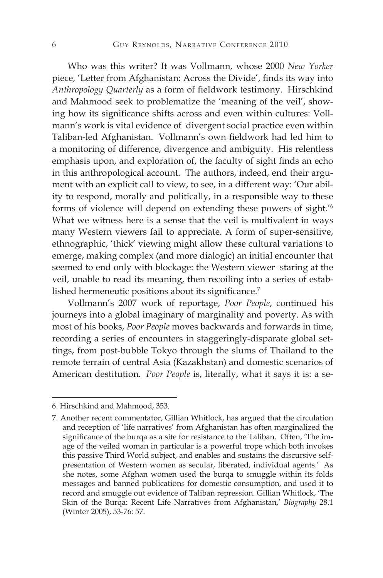Who was this writer? It was Vollmann, whose 2000 *New Yorker* piece, 'Letter from Afghanistan: Across the Divide', finds its way into *Anthropology Quarterly* as a form of fieldwork testimony. Hirschkind and Mahmood seek to problematize the 'meaning of the veil', showing how its significance shifts across and even within cultures: Vollmann's work is vital evidence of divergent social practice even within Taliban-led Afghanistan. Vollmann's own fieldwork had led him to a monitoring of difference, divergence and ambiguity. His relentless emphasis upon, and exploration of, the faculty of sight finds an echo in this anthropological account. The authors, indeed, end their argument with an explicit call to view, to see, in a different way: 'Our ability to respond, morally and politically, in a responsible way to these forms of violence will depend on extending these powers of sight.'<sup>6</sup> What we witness here is a sense that the veil is multivalent in ways many Western viewers fail to appreciate. A form of super-sensitive, ethnographic, 'thick' viewing might allow these cultural variations to emerge, making complex (and more dialogic) an initial encounter that seemed to end only with blockage: the Western viewer staring at the veil, unable to read its meaning, then recoiling into a series of established hermeneutic positions about its significance.7

Vollmann's 2007 work of reportage, *Poor People*, continued his journeys into a global imaginary of marginality and poverty. As with most of his books, *Poor People* moves backwards and forwards in time, recording a series of encounters in staggeringly-disparate global settings, from post-bubble Tokyo through the slums of Thailand to the remote terrain of central Asia (Kazakhstan) and domestic scenarios of American destitution. *Poor People* is, literally, what it says it is: a se-

<sup>6.</sup> Hirschkind and Mahmood, 353.

<sup>7.</sup> Another recent commentator, Gillian Whitlock, has argued that the circulation and reception of 'life narratives' from Afghanistan has often marginalized the significance of the burqa as a site for resistance to the Taliban. Often, 'The image of the veiled woman in particular is a powerful trope which both invokes this passive Third World subject, and enables and sustains the discursive selfpresentation of Western women as secular, liberated, individual agents.' As she notes, some Afghan women used the burqa to smuggle within its folds messages and banned publications for domestic consumption, and used it to record and smuggle out evidence of Taliban repression. Gillian Whitlock, 'The Skin of the Burqa: Recent Life Narratives from Afghanistan,' *Biography* 28.1 (Winter 2005), 53-76: 57.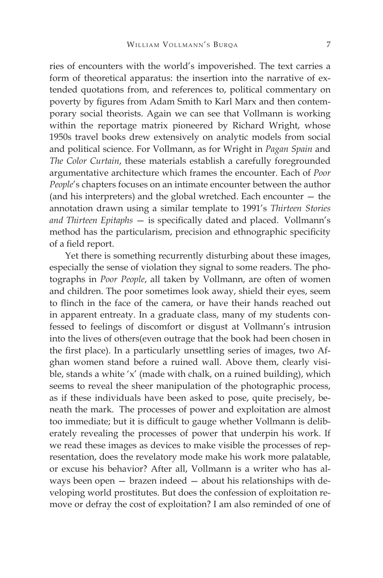ries of encounters with the world's impoverished. The text carries a form of theoretical apparatus: the insertion into the narrative of extended quotations from, and references to, political commentary on poverty by figures from Adam Smith to Karl Marx and then contemporary social theorists. Again we can see that Vollmann is working within the reportage matrix pioneered by Richard Wright, whose 1950s travel books drew extensively on analytic models from social and political science. For Vollmann, as for Wright in *Pagan Spain* and *The Color Curtain*, these materials establish a carefully foregrounded argumentative architecture which frames the encounter. Each of *Poor People*'s chapters focuses on an intimate encounter between the author (and his interpreters) and the global wretched. Each encounter — the annotation drawn using a similar template to 1991's *Thirteen Stories and Thirteen Epitaphs* — is specifically dated and placed. Vollmann's method has the particularism, precision and ethnographic specificity of a field report.

Yet there is something recurrently disturbing about these images, especially the sense of violation they signal to some readers. The photographs in *Poor People*, all taken by Vollmann, are often of women and children. The poor sometimes look away, shield their eyes, seem to flinch in the face of the camera, or have their hands reached out in apparent entreaty. In a graduate class, many of my students confessed to feelings of discomfort or disgust at Vollmann's intrusion into the lives of others(even outrage that the book had been chosen in the first place). In a particularly unsettling series of images, two Afghan women stand before a ruined wall. Above them, clearly visible, stands a white 'x' (made with chalk, on a ruined building), which seems to reveal the sheer manipulation of the photographic process, as if these individuals have been asked to pose, quite precisely, beneath the mark. The processes of power and exploitation are almost too immediate; but it is difficult to gauge whether Vollmann is deliberately revealing the processes of power that underpin his work. If we read these images as devices to make visible the processes of representation, does the revelatory mode make his work more palatable, or excuse his behavior? After all, Vollmann is a writer who has always been open — brazen indeed — about his relationships with developing world prostitutes. But does the confession of exploitation remove or defray the cost of exploitation? I am also reminded of one of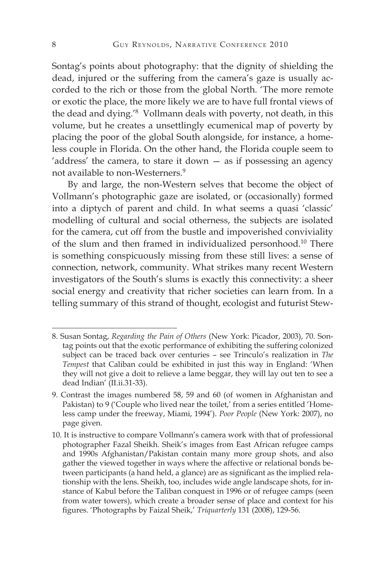Sontag's points about photography: that the dignity of shielding the dead, injured or the suffering from the camera's gaze is usually accorded to the rich or those from the global North. 'The more remote or exotic the place, the more likely we are to have full frontal views of the dead and dying.'8 Vollmann deals with poverty, not death, in this volume, but he creates a unsettlingly ecumenical map of poverty by placing the poor of the global South alongside, for instance, a homeless couple in Florida. On the other hand, the Florida couple seem to 'address' the camera, to stare it down — as if possessing an agency not available to non-Westerners.<sup>9</sup>

By and large, the non-Western selves that become the object of Vollmann's photographic gaze are isolated, or (occasionally) formed into a diptych of parent and child. In what seems a quasi 'classic' modelling of cultural and social otherness, the subjects are isolated for the camera, cut off from the bustle and impoverished conviviality of the slum and then framed in individualized personhood.10 There is something conspicuously missing from these still lives: a sense of connection, network, community. What strikes many recent Western investigators of the South's slums is exactly this connectivity: a sheer social energy and creativity that richer societies can learn from. In a telling summary of this strand of thought, ecologist and futurist Stew-

<sup>8.</sup> Susan Sontag, *Regarding the Pain of Others* (New York: Picador, 2003), 70. Sontag points out that the exotic performance of exhibiting the suffering colonized subject can be traced back over centuries – see Trinculo's realization in *The Tempest* that Caliban could be exhibited in just this way in England: 'When they will not give a doit to relieve a lame beggar, they will lay out ten to see a dead Indian' (II.ii.31-33).

<sup>9.</sup> Contrast the images numbered 58, 59 and 60 (of women in Afghanistan and Pakistan) to 9 ('Couple who lived near the toilet,' from a series entitled 'Homeless camp under the freeway, Miami, 1994'). *Poor People* (New York: 2007), no page given.

<sup>10.</sup> It is instructive to compare Vollmann's camera work with that of professional photographer Fazal Sheikh. Sheik's images from East African refugee camps and 1990s Afghanistan/Pakistan contain many more group shots, and also gather the viewed together in ways where the affective or relational bonds between participants (a hand held, a glance) are as significant as the implied relationship with the lens. Sheikh, too, includes wide angle landscape shots, for instance of Kabul before the Taliban conquest in 1996 or of refugee camps (seen from water towers), which create a broader sense of place and context for his figures. 'Photographs by Faizal Sheik,' *Triquarterly* 131 (2008), 129-56.